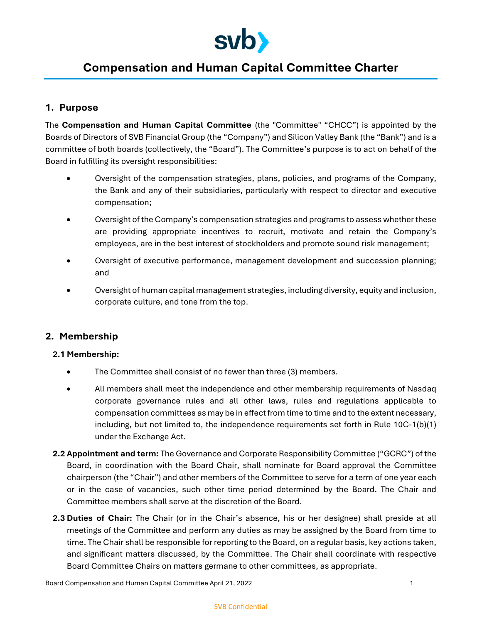

# **Compensation and Human Capital Committee Charter**

# **1. Purpose**

The **Compensation and Human Capital Committee** (the "Committee" "CHCC") is appointed by the Boards of Directors of SVB Financial Group (the "Company") and Silicon Valley Bank (the "Bank") and is a committee of both boards (collectively, the "Board"). The Committee's purpose is to act on behalf of the Board in fulfilling its oversight responsibilities:

- Oversight of the compensation strategies, plans, policies, and programs of the Company, the Bank and any of their subsidiaries, particularly with respect to director and executive compensation;
- Oversight of the Company's compensation strategies and programs to assess whether these are providing appropriate incentives to recruit, motivate and retain the Company's employees, are in the best interest of stockholders and promote sound risk management;
- Oversight of executive performance, management development and succession planning; and
- Oversight of human capital management strategies, including diversity, equity and inclusion, corporate culture, and tone from the top.

# **2. Membership**

#### **2.1 Membership:**

- The Committee shall consist of no fewer than three (3) members.
- All members shall meet the independence and other membership requirements of Nasdaq corporate governance rules and all other laws, rules and regulations applicable to compensation committees as may be in effect from time to time and to the extent necessary, including, but not limited to, the independence requirements set forth in Rule 10C-1(b)(1) under the Exchange Act.
- **2.2 Appointment and term:** The Governance and Corporate Responsibility Committee ("GCRC") of the Board, in coordination with the Board Chair, shall nominate for Board approval the Committee chairperson (the "Chair") and other members of the Committee to serve for a term of one year each or in the case of vacancies, such other time period determined by the Board. The Chair and Committee members shall serve at the discretion of the Board.
- **2.3 Duties of Chair:** The Chair (or in the Chair's absence, his or her designee) shall preside at all meetings of the Committee and perform any duties as may be assigned by the Board from time to time. The Chair shall be responsible for reporting to the Board, on a regular basis, key actions taken, and significant matters discussed, by the Committee. The Chair shall coordinate with respective Board Committee Chairs on matters germane to other committees, as appropriate.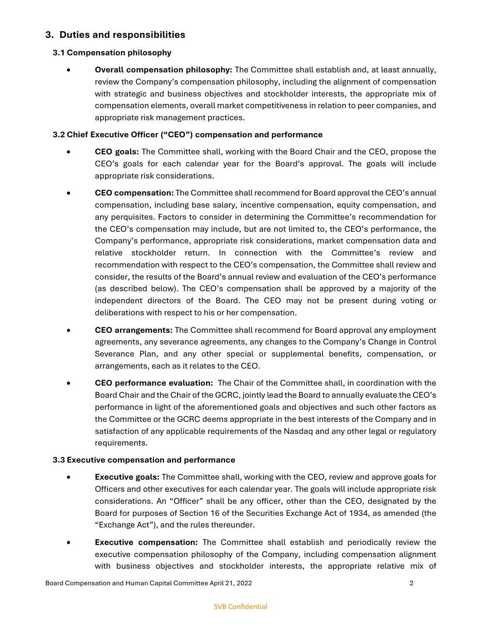# **3. Duties and responsibilities**

# **3.1 Compensation philosophy**

 **Overall compensation philosophy:** The Committee shall establish and, at least annually, review the Company's compensation philosophy, including the alignment of compensation with strategic and business objectives and stockholder interests, the appropriate mix of compensation elements, overall market competitiveness in relation to peer companies, and appropriate risk management practices.

# **3.2 Chief Executive Officer ("CEO") compensation and performance**

- **CEO goals:** The Committee shall, working with the Board Chair and the CEO, propose the CEO's goals for each calendar year for the Board's approval. The goals will include appropriate risk considerations.
- **CEO compensation:** The Committee shall recommend for Board approval the CEO's annual compensation, including base salary, incentive compensation, equity compensation, and any perquisites. Factors to consider in determining the Committee's recommendation for the CEO's compensation may include, but are not limited to, the CEO's performance, the Company's performance, appropriate risk considerations, market compensation data and relative stockholder return. In connection with the Committee's review and recommendation with respect to the CEO's compensation, the Committee shall review and consider, the results of the Board's annual review and evaluation of the CEO's performance (as described below). The CEO's compensation shall be approved by a majority of the independent directors of the Board. The CEO may not be present during voting or deliberations with respect to his or her compensation.
- **CEO arrangements:** The Committee shall recommend for Board approval any employment agreements, any severance agreements, any changes to the Company's Change in Control Severance Plan, and any other special or supplemental benefits, compensation, or arrangements, each as it relates to the CEO.
- **CEO performance evaluation:** The Chair of the Committee shall, in coordination with the Board Chair and the Chair of the GCRC, jointly lead the Board to annually evaluate the CEO's performance in light of the aforementioned goals and objectives and such other factors as the Committee or the GCRC deems appropriate in the best interests of the Company and in satisfaction of any applicable requirements of the Nasdaq and any other legal or regulatory requirements.

# **3.3 Executive compensation and performance**

- **Executive goals:** The Committee shall, working with the CEO, review and approve goals for Officers and other executives for each calendar year. The goals will include appropriate risk considerations. An "Officer" shall be any officer, other than the CEO, designated by the Board for purposes of Section 16 of the Securities Exchange Act of 1934, as amended (the "Exchange Act"), and the rules thereunder.
- **Executive compensation:** The Committee shall establish and periodically review the executive compensation philosophy of the Company, including compensation alignment with business objectives and stockholder interests, the appropriate relative mix of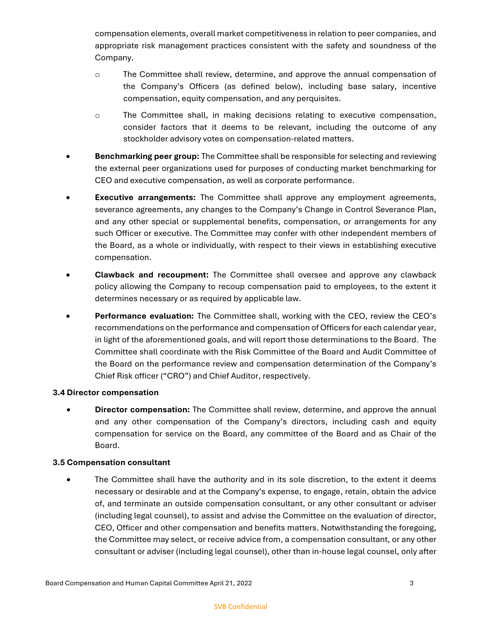compensation elements, overall market competitiveness in relation to peer companies, and appropriate risk management practices consistent with the safety and soundness of the Company.

- o The Committee shall review, determine, and approve the annual compensation of the Company's Officers (as defined below), including base salary, incentive compensation, equity compensation, and any perquisites.
- o The Committee shall, in making decisions relating to executive compensation, consider factors that it deems to be relevant, including the outcome of any stockholder advisory votes on compensation-related matters.
- **Benchmarking peer group:** The Committee shall be responsible for selecting and reviewing the external peer organizations used for purposes of conducting market benchmarking for CEO and executive compensation, as well as corporate performance.
- **Executive arrangements:** The Committee shall approve any employment agreements, severance agreements, any changes to the Company's Change in Control Severance Plan, and any other special or supplemental benefits, compensation, or arrangements for any such Officer or executive. The Committee may confer with other independent members of the Board, as a whole or individually, with respect to their views in establishing executive compensation.
- **Clawback and recoupment:** The Committee shall oversee and approve any clawback policy allowing the Company to recoup compensation paid to employees, to the extent it determines necessary or as required by applicable law.
- **Performance evaluation:** The Committee shall, working with the CEO, review the CEO's recommendations on the performance and compensation of Officers for each calendar year, in light of the aforementioned goals, and will report those determinations to the Board. The Committee shall coordinate with the Risk Committee of the Board and Audit Committee of the Board on the performance review and compensation determination of the Company's Chief Risk officer ("CRO") and Chief Auditor, respectively.

# **3.4 Director compensation**

 **Director compensation:** The Committee shall review, determine, and approve the annual and any other compensation of the Company's directors, including cash and equity compensation for service on the Board, any committee of the Board and as Chair of the Board.

#### **3.5 Compensation consultant**

• The Committee shall have the authority and in its sole discretion, to the extent it deems necessary or desirable and at the Company's expense, to engage, retain, obtain the advice of, and terminate an outside compensation consultant, or any other consultant or adviser (including legal counsel), to assist and advise the Committee on the evaluation of director, CEO, Officer and other compensation and benefits matters. Notwithstanding the foregoing, the Committee may select, or receive advice from, a compensation consultant, or any other consultant or adviser (including legal counsel), other than in-house legal counsel, only after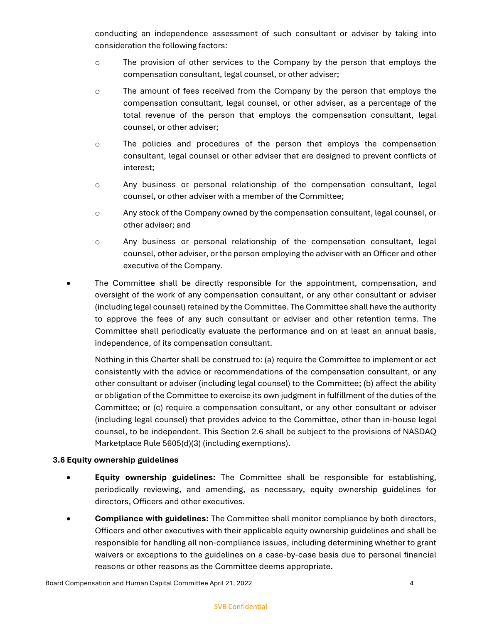conducting an independence assessment of such consultant or adviser by taking into consideration the following factors:

- o The provision of other services to the Company by the person that employs the compensation consultant, legal counsel, or other adviser;
- o The amount of fees received from the Company by the person that employs the compensation consultant, legal counsel, or other adviser, as a percentage of the total revenue of the person that employs the compensation consultant, legal counsel, or other adviser;
- o The policies and procedures of the person that employs the compensation consultant, legal counsel or other adviser that are designed to prevent conflicts of interest;
- o Any business or personal relationship of the compensation consultant, legal counsel, or other adviser with a member of the Committee;
- $\circ$  Any stock of the Company owned by the compensation consultant, legal counsel, or other adviser; and
- o Any business or personal relationship of the compensation consultant, legal counsel, other adviser, or the person employing the adviser with an Officer and other executive of the Company.
- The Committee shall be directly responsible for the appointment, compensation, and oversight of the work of any compensation consultant, or any other consultant or adviser (including legal counsel) retained by the Committee. The Committee shall have the authority to approve the fees of any such consultant or adviser and other retention terms. The Committee shall periodically evaluate the performance and on at least an annual basis, independence, of its compensation consultant.

Nothing in this Charter shall be construed to: (a) require the Committee to implement or act consistently with the advice or recommendations of the compensation consultant, or any other consultant or adviser (including legal counsel) to the Committee; (b) affect the ability or obligation of the Committee to exercise its own judgment in fulfillment of the duties of the Committee; or (c) require a compensation consultant, or any other consultant or adviser (including legal counsel) that provides advice to the Committee, other than in-house legal counsel, to be independent. This Section 2.6 shall be subject to the provisions of NASDAQ Marketplace Rule 5605(d)(3) (including exemptions).

# **3.6 Equity ownership guidelines**

- **Equity ownership guidelines:** The Committee shall be responsible for establishing, periodically reviewing, and amending, as necessary, equity ownership guidelines for directors, Officers and other executives.
- **Compliance with guidelines:** The Committee shall monitor compliance by both directors, Officers and other executives with their applicable equity ownership guidelines and shall be responsible for handling all non-compliance issues, including determining whether to grant waivers or exceptions to the guidelines on a case-by-case basis due to personal financial reasons or other reasons as the Committee deems appropriate.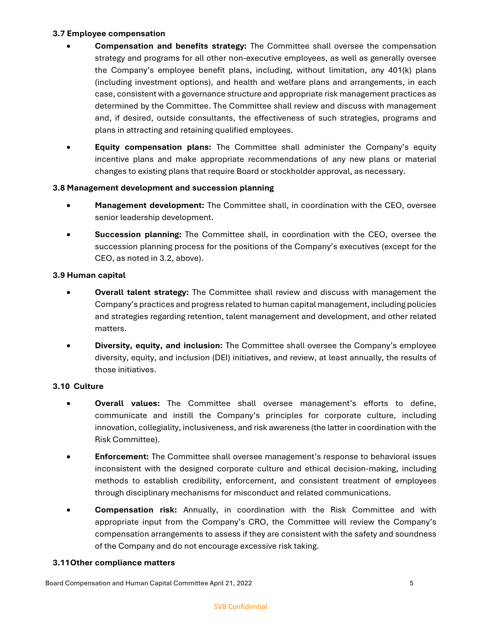#### **3.7 Employee compensation**

- **Compensation and benefits strategy:** The Committee shall oversee the compensation strategy and programs for all other non-executive employees, as well as generally oversee the Company's employee benefit plans, including, without limitation, any 401(k) plans (including investment options), and health and welfare plans and arrangements, in each case, consistent with a governance structure and appropriate risk management practices as determined by the Committee. The Committee shall review and discuss with management and, if desired, outside consultants, the effectiveness of such strategies, programs and plans in attracting and retaining qualified employees.
- **Equity compensation plans:** The Committee shall administer the Company's equity incentive plans and make appropriate recommendations of any new plans or material changes to existing plans that require Board or stockholder approval, as necessary.

#### **3.8 Management development and succession planning**

- **Management development:** The Committee shall, in coordination with the CEO, oversee senior leadership development.
- **Succession planning:** The Committee shall, in coordination with the CEO, oversee the succession planning process for the positions of the Company's executives (except for the CEO, as noted in 3.2, above).

#### **3.9 Human capital**

- **Overall talent strategy:** The Committee shall review and discuss with management the Company's practices and progress related to human capital management, including policies and strategies regarding retention, talent management and development, and other related matters.
- **Diversity, equity, and inclusion:** The Committee shall oversee the Company's employee diversity, equity, and inclusion (DEI) initiatives, and review, at least annually, the results of those initiatives.

#### **3.10 Culture**

- **Overall values:** The Committee shall oversee management's efforts to define, communicate and instill the Company's principles for corporate culture, including innovation, collegiality, inclusiveness, and risk awareness (the latter in coordination with the Risk Committee).
- **Enforcement:** The Committee shall oversee management's response to behavioral issues inconsistent with the designed corporate culture and ethical decision-making, including methods to establish credibility, enforcement, and consistent treatment of employees through disciplinary mechanisms for misconduct and related communications.
- **Compensation risk:** Annually, in coordination with the Risk Committee and with appropriate input from the Company's CRO, the Committee will review the Company's compensation arrangements to assess if they are consistent with the safety and soundness of the Company and do not encourage excessive risk taking.

#### **3.11Other compliance matters**

Board Compensation and Human Capital Committee April 21, 2022 5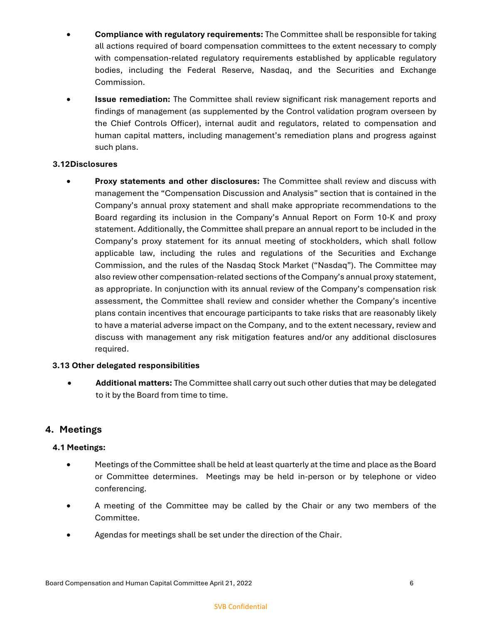- **Compliance with regulatory requirements:** The Committee shall be responsible for taking all actions required of board compensation committees to the extent necessary to comply with compensation-related regulatory requirements established by applicable regulatory bodies, including the Federal Reserve, Nasdaq, and the Securities and Exchange Commission.
- **Issue remediation:** The Committee shall review significant risk management reports and findings of management (as supplemented by the Control validation program overseen by the Chief Controls Officer), internal audit and regulators, related to compensation and human capital matters, including management's remediation plans and progress against such plans.

### **3.12Disclosures**

 **Proxy statements and other disclosures:** The Committee shall review and discuss with management the "Compensation Discussion and Analysis" section that is contained in the Company's annual proxy statement and shall make appropriate recommendations to the Board regarding its inclusion in the Company's Annual Report on Form 10-K and proxy statement. Additionally, the Committee shall prepare an annual report to be included in the Company's proxy statement for its annual meeting of stockholders, which shall follow applicable law, including the rules and regulations of the Securities and Exchange Commission, and the rules of the Nasdaq Stock Market ("Nasdaq"). The Committee may also review other compensation-related sections of the Company's annual proxy statement, as appropriate. In conjunction with its annual review of the Company's compensation risk assessment, the Committee shall review and consider whether the Company's incentive plans contain incentives that encourage participants to take risks that are reasonably likely to have a material adverse impact on the Company, and to the extent necessary, review and discuss with management any risk mitigation features and/or any additional disclosures required.

# **3.13 Other delegated responsibilities**

 **Additional matters:** The Committee shall carry out such other duties that may be delegated to it by the Board from time to time.

# **4. Meetings**

# **4.1 Meetings:**

- Meetings of the Committee shall be held at least quarterly at the time and place as the Board or Committee determines. Meetings may be held in-person or by telephone or video conferencing.
- A meeting of the Committee may be called by the Chair or any two members of the Committee.
- Agendas for meetings shall be set under the direction of the Chair.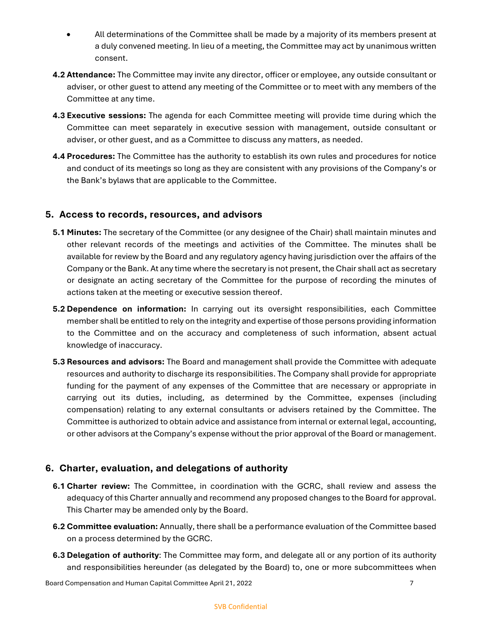- All determinations of the Committee shall be made by a majority of its members present at a duly convened meeting. In lieu of a meeting, the Committee may act by unanimous written consent.
- **4.2 Attendance:** The Committee may invite any director, officer or employee, any outside consultant or adviser, or other guest to attend any meeting of the Committee or to meet with any members of the Committee at any time.
- **4.3 Executive sessions:** The agenda for each Committee meeting will provide time during which the Committee can meet separately in executive session with management, outside consultant or adviser, or other guest, and as a Committee to discuss any matters, as needed.
- **4.4 Procedures:** The Committee has the authority to establish its own rules and procedures for notice and conduct of its meetings so long as they are consistent with any provisions of the Company's or the Bank's bylaws that are applicable to the Committee.

# **5. Access to records, resources, and advisors**

- **5.1 Minutes:** The secretary of the Committee (or any designee of the Chair) shall maintain minutes and other relevant records of the meetings and activities of the Committee. The minutes shall be available for review by the Board and any regulatory agency having jurisdiction over the affairs of the Company or the Bank. At any time where the secretary is not present, the Chair shall act as secretary or designate an acting secretary of the Committee for the purpose of recording the minutes of actions taken at the meeting or executive session thereof.
- **5.2 Dependence on information:** In carrying out its oversight responsibilities, each Committee member shall be entitled to rely on the integrity and expertise of those persons providing information to the Committee and on the accuracy and completeness of such information, absent actual knowledge of inaccuracy.
- **5.3 Resources and advisors:** The Board and management shall provide the Committee with adequate resources and authority to discharge its responsibilities. The Company shall provide for appropriate funding for the payment of any expenses of the Committee that are necessary or appropriate in carrying out its duties, including, as determined by the Committee, expenses (including compensation) relating to any external consultants or advisers retained by the Committee. The Committee is authorized to obtain advice and assistance from internal or external legal, accounting, or other advisors at the Company's expense without the prior approval of the Board or management.

# **6. Charter, evaluation, and delegations of authority**

- **6.1 Charter review:** The Committee, in coordination with the GCRC, shall review and assess the adequacy of this Charter annually and recommend any proposed changes to the Board for approval. This Charter may be amended only by the Board.
- **6.2 Committee evaluation:** Annually, there shall be a performance evaluation of the Committee based on a process determined by the GCRC.
- **6.3 Delegation of authority**: The Committee may form, and delegate all or any portion of its authority and responsibilities hereunder (as delegated by the Board) to, one or more subcommittees when

#### SVB Confidential